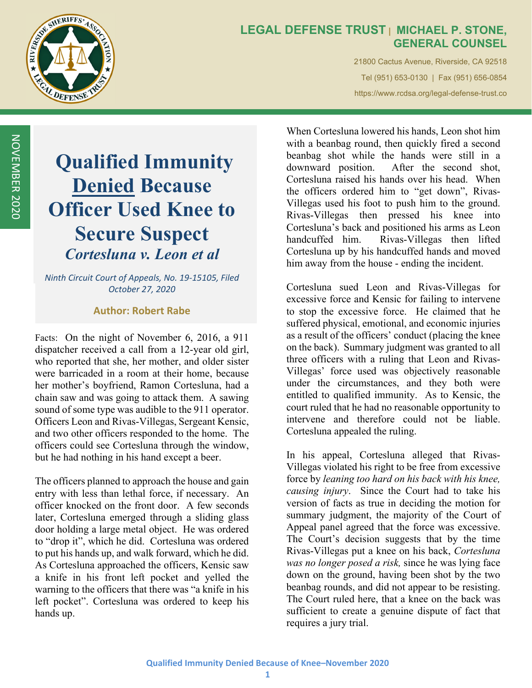

## **LEGAL DEFENSE TRUST | MICHAEL P. STONE, GENERAL COUNSEL**

21800 Cactus Avenue, Riverside, CA 92518 Tel (951) 653-0130 | Fax (951) 656-0854 https://www.rcdsa.org/legal-defense-trust.co

# **Qualified Immunity Denied Because Officer Used Knee to Secure Suspect**  *Cortesluna v. Leon et al*

*Ninth Circuit Court of Appeals, No. 19‐15105, Filed October 27, 2020*

#### **Author: Robert Rabe**

Facts: On the night of November 6, 2016, a 911 dispatcher received a call from a 12-year old girl, who reported that she, her mother, and older sister were barricaded in a room at their home, because her mother's boyfriend, Ramon Cortesluna, had a chain saw and was going to attack them. A sawing sound of some type was audible to the 911 operator. Officers Leon and Rivas-Villegas, Sergeant Kensic, and two other officers responded to the home. The officers could see Cortesluna through the window, but he had nothing in his hand except a beer.

The officers planned to approach the house and gain entry with less than lethal force, if necessary. An officer knocked on the front door. A few seconds later, Cortesluna emerged through a sliding glass door holding a large metal object. He was ordered to "drop it", which he did. Cortesluna was ordered to put his hands up, and walk forward, which he did. As Cortesluna approached the officers, Kensic saw a knife in his front left pocket and yelled the warning to the officers that there was "a knife in his left pocket". Cortesluna was ordered to keep his hands up.

When Cortesluna lowered his hands, Leon shot him with a beanbag round, then quickly fired a second beanbag shot while the hands were still in a downward position. After the second shot, Cortesluna raised his hands over his head. When the officers ordered him to "get down", Rivas-Villegas used his foot to push him to the ground. Rivas-Villegas then pressed his knee into Cortesluna's back and positioned his arms as Leon handcuffed him. Rivas-Villegas then lifted Cortesluna up by his handcuffed hands and moved him away from the house - ending the incident.

Cortesluna sued Leon and Rivas-Villegas for excessive force and Kensic for failing to intervene to stop the excessive force. He claimed that he suffered physical, emotional, and economic injuries as a result of the officers' conduct (placing the knee on the back). Summary judgment was granted to all three officers with a ruling that Leon and Rivas-Villegas' force used was objectively reasonable under the circumstances, and they both were entitled to qualified immunity. As to Kensic, the court ruled that he had no reasonable opportunity to intervene and therefore could not be liable. Cortesluna appealed the ruling.

In his appeal, Cortesluna alleged that Rivas-Villegas violated his right to be free from excessive force by *leaning too hard on his back with his knee, causing injury*. Since the Court had to take his version of facts as true in deciding the motion for summary judgment, the majority of the Court of Appeal panel agreed that the force was excessive. The Court's decision suggests that by the time Rivas-Villegas put a knee on his back, *Cortesluna was no longer posed a risk,* since he was lying face down on the ground, having been shot by the two beanbag rounds, and did not appear to be resisting. The Court ruled here, that a knee on the back was sufficient to create a genuine dispute of fact that requires a jury trial.